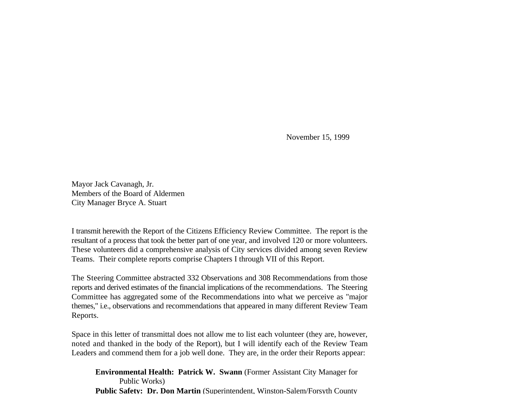November 15, 1999

Mayor Jack Cavanagh, Jr. Members of the Board of Aldermen City Manager Bryce A. Stuart

I transmit herewith the Report of the Citizens Efficiency Review Committee. The report is the resultant of a process that took the better part of one year, and involved 120 or more volunteers. These volunteers did a comprehensive analysis of City services divided among seven Review Teams. Their complete reports comprise Chapters I through VII of this Report.

The Steering Committee abstracted 332 Observations and 308 Recommendations from those reports and derived estimates of the financial implications of the recommendations. The Steering Committee has aggregated some of the Recommendations into what we perceive as "major themes," i.e., observations and recommendations that appeared in many different Review Team Reports.

Space in this letter of transmittal does not allow me to list each volunteer (they are, however, noted and thanked in the body of the Report), but I will identify each of the Review Team Leaders and commend them for a job well done. They are, in the order their Reports appear:

**Environmental Health: Patrick W. Swann** (Former Assistant City Manager for Public Works) **Public Safety: Dr. Don Martin** (Superintendent, Winston-Salem/Forsyth County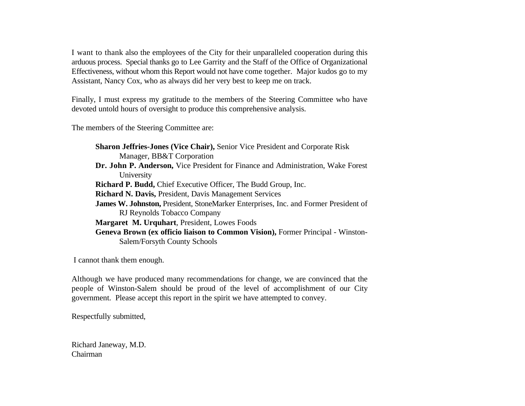I want to thank also the employees of the City for their unparalleled cooperation during this arduous process. Special thanks go to Lee Garrity and the Staff of the Office of Organizational Effectiveness, without whom this Report would not have come together. Major kudos go to my Assistant, Nancy Cox, who as always did her very best to keep me on track.

Finally, I must express my gratitude to the members of the Steering Committee who have devoted untold hours of oversight to produce this comprehensive analysis.

The members of the Steering Committee are:

**Sharon Jeffries-Jones (Vice Chair),** Senior Vice President and Corporate Risk Manager, BB&T Corporation **Dr. John P. Anderson,** Vice President for Finance and Administration, Wake Forest University **Richard P. Budd,** Chief Executive Officer, The Budd Group, Inc. **Richard N. Davis,** President, Davis Management Services **James W. Johnston,** President, StoneMarker Enterprises, Inc. and Former President of RJ Reynolds Tobacco Company **Margaret M. Urquhart**, President, Lowes Foods **Geneva Brown (ex officio liaison to Common Vision),** Former Principal - Winston-Salem/Forsyth County Schools

I cannot thank them enough.

Although we have produced many recommendations for change, we are convinced that the people of Winston-Salem should be proud of the level of accomplishment of our City government. Please accept this report in the spirit we have attempted to convey.

Respectfully submitted,

Richard Janeway, M.D. Chairman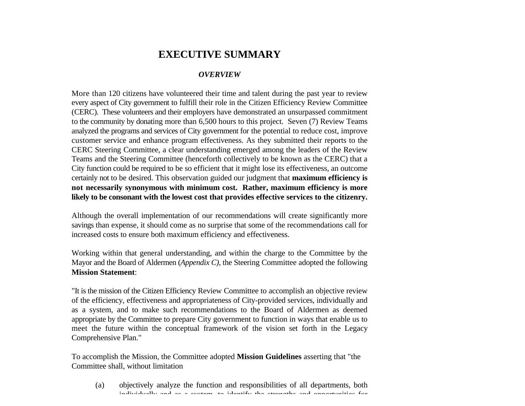# **EXECUTIVE SUMMARY**

#### *OVERVIEW*

More than 120 citizens have volunteered their time and talent during the past year to review every aspect of City government to fulfill their role in the Citizen Efficiency Review Committee (CERC). These volunteers and their employers have demonstrated an unsurpassed commitment to the community by donating more than 6,500 hours to this project. Seven (7) Review Teams analyzed the programs and services of City government for the potential to reduce cost, improve customer service and enhance program effectiveness. As they submitted their reports to the CERC Steering Committee, a clear understanding emerged among the leaders of the Review Teams and the Steering Committee (henceforth collectively to be known as the CERC) that a City function could be required to be so efficient that it might lose its effectiveness, an outcome certainly not to be desired. This observation guided our judgment that **maximum efficiency is not necessarily synonymous with minimum cost. Rather, maximum efficiency is more likely to be consonant with the lowest cost that provides effective services to the citizenry.**

Although the overall implementation of our recommendations will create significantly more savings than expense, it should come as no surprise that some of the recommendations call for increased costs to ensure both maximum efficiency and effectiveness.

Working within that general understanding, and within the charge to the Committee by the Mayor and the Board of Aldermen (*Appendix C)*, the Steering Committee adopted the following **Mission Statement**:

"It is the mission of the Citizen Efficiency Review Committee to accomplish an objective review of the efficiency, effectiveness and appropriateness of City-provided services, individually and as a system, and to make such recommendations to the Board of Aldermen as deemed appropriate by the Committee to prepare City government to function in ways that enable us to meet the future within the conceptual framework of the vision set forth in the Legacy Comprehensive Plan."

To accomplish the Mission, the Committee adopted **Mission Guidelines** asserting that "the Committee shall, without limitation

(a) objectively analyze the function and responsibilities of all departments, both individually and as a system, to identify the strengths and opportunities for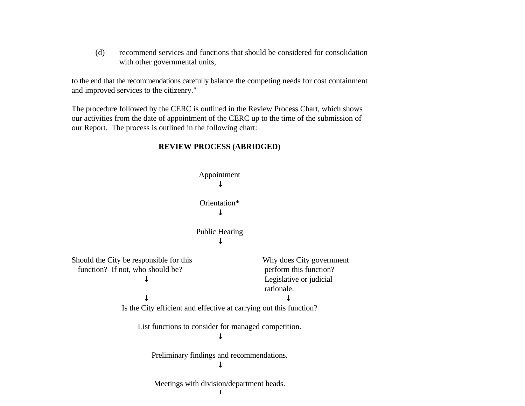(d) recommend services and functions that should be considered for consolidation with other governmental units,

to the end that the recommendations carefully balance the competing needs for cost containment and improved services to the citizenry."

The procedure followed by the CERC is outlined in the Review Process Chart, which shows our activities from the date of appointment of the CERC up to the time of the submission of our Report. The process is outlined in the following chart:

#### **REVIEW PROCESS (ABRIDGED)**

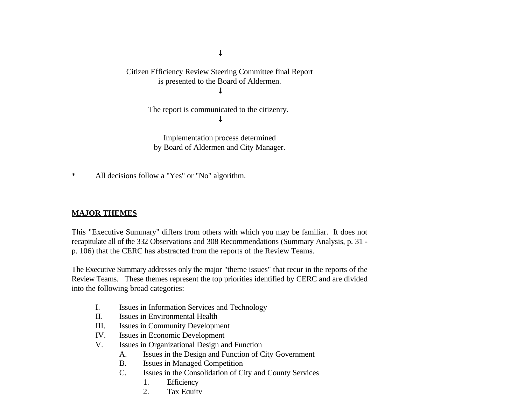Citizen Efficiency Review Steering Committee final Report is presented to the Board of Aldermen. ↓

↓

The report is communicated to the citizenry. ↓

Implementation process determined by Board of Aldermen and City Manager.

\* All decisions follow a "Yes" or "No" algorithm.

## **MAJOR THEMES**

This "Executive Summary" differs from others with which you may be familiar. It does not recapitulate all of the 332 Observations and 308 Recommendations (Summary Analysis, p. 31 p. 106) that the CERC has abstracted from the reports of the Review Teams.

The Executive Summary addresses only the major "theme issues" that recur in the reports of the Review Teams. These themes represent the top priorities identified by CERC and are divided into the following broad categories:

- I. Issues in Information Services and Technology
- II. Issues in Environmental Health
- III. Issues in Community Development
- IV. Issues in Economic Development
- V. Issues in Organizational Design and Function
	- A. Issues in the Design and Function of City Government
	- B. Issues in Managed Competition
	- C. Issues in the Consolidation of City and County Services
		- 1. Efficiency
		- 2. Tax Equity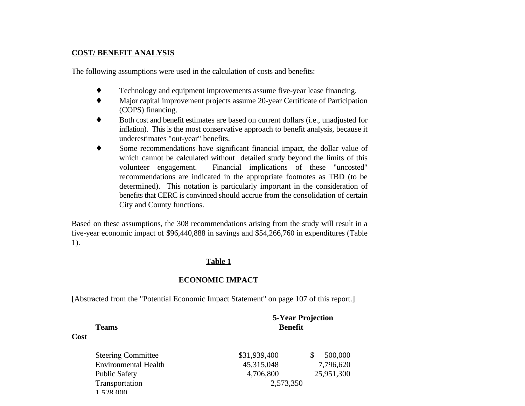#### **COST/ BENEFIT ANALYSIS**

The following assumptions were used in the calculation of costs and benefits:

- ♦ Technology and equipment improvements assume five-year lease financing.
- ♦ Major capital improvement projects assume 20-year Certificate of Participation (COPS) financing.
- ♦ Both cost and benefit estimates are based on current dollars (i.e., unadjusted for inflation). This is the most conservative approach to benefit analysis, because it underestimates "out-year" benefits.
- ♦ Some recommendations have significant financial impact, the dollar value of which cannot be calculated without detailed study beyond the limits of this volunteer engagement. Financial implications of these "uncosted" recommendations are indicated in the appropriate footnotes as TBD (to be determined). This notation is particularly important in the consideration of benefits that CERC is convinced should accrue from the consolidation of certain City and County functions.

Based on these assumptions, the 308 recommendations arising from the study will result in a five-year economic impact of \$96,440,888 in savings and \$54,266,760 in expenditures (Table 1).

## **Table 1**

# **ECONOMIC IMPACT**

[Abstracted from the "Potential Economic Impact Statement" on page 107 of this report.]

|      | <b>Teams</b>                | <b>5-Year Projection</b><br><b>Benefit</b> |               |  |
|------|-----------------------------|--------------------------------------------|---------------|--|
| Cost |                             |                                            |               |  |
|      | <b>Steering Committee</b>   | \$31,939,400                               | 500,000<br>\$ |  |
|      | <b>Environmental Health</b> | 45, 315, 048                               | 7,796,620     |  |
|      | <b>Public Safety</b>        | 4,706,800                                  | 25,951,300    |  |
|      | Transportation              | 2,573,350                                  |               |  |
|      | 1.528.000                   |                                            |               |  |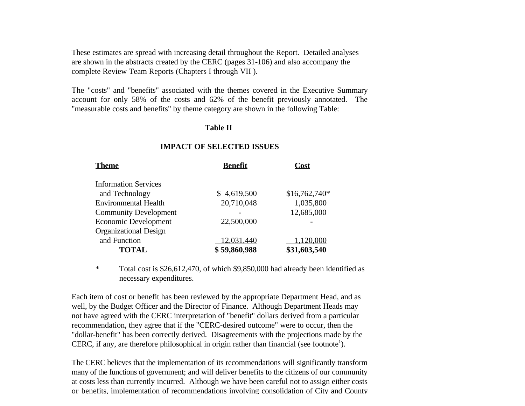These estimates are spread with increasing detail throughout the Report. Detailed analyses are shown in the abstracts created by the CERC (pages 31-106) and also accompany the complete Review Team Reports (Chapters I through VII ).

The "costs" and "benefits" associated with the themes covered in the Executive Summary account for only 58% of the costs and 62% of the benefit previously annotated. The "measurable costs and benefits" by theme category are shown in the following Table:

#### **Table II**

#### **IMPACT OF SELECTED ISSUES**

| <b>Theme</b>                 | <b>Benefit</b> | Cost           |
|------------------------------|----------------|----------------|
| <b>Information Services</b>  |                |                |
| and Technology               | \$4,619,500    | $$16,762,740*$ |
| <b>Environmental Health</b>  | 20,710,048     | 1,035,800      |
| <b>Community Development</b> |                | 12,685,000     |
| Economic Development         | 22,500,000     |                |
| <b>Organizational Design</b> |                |                |
| and Function                 | 12,031,440     | 1,120,000      |
| <b>TOTAL</b>                 | \$59,860,988   | \$31,603,540   |

\* Total cost is \$26,612,470, of which \$9,850,000 had already been identified as necessary expenditures.

Each item of cost or benefit has been reviewed by the appropriate Department Head, and as well, by the Budget Officer and the Director of Finance. Although Department Heads may not have agreed with the CERC interpretation of "benefit" dollars derived from a particular recommendation, they agree that if the "CERC-desired outcome" were to occur, then the "dollar-benefit" has been correctly derived. Disagreements with the projections made by the CERC, if any, are therefore philosophical in origin rather than financial (see footnote<sup>1</sup>).

The CERC believes that the implementation of its recommendations will significantly transform many of the functions of government; and will deliver benefits to the citizens of our community at costs less than currently incurred. Although we have been careful not to assign either costs or benefits, implementation of recommendations involving consolidation of City and County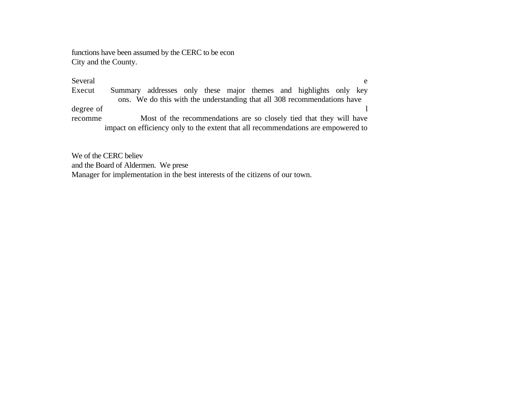functions have been assumed by the CERC to be econ City and the County.

Several e Execut Summary addresses only these major themes and highlights only key ons. We do this with the understanding that all 308 recommendations have degree of letters are a large set of letters and letters are a large set of letters and letters are a large set of letters and letters are a large set of letters and letters are a large set of letters and letters are a lar recomme Most of the recommendations are so closely tied that they will have impact on efficiency only to the extent that all recommendations are empowered to

We of the CERC believ and the Board of Aldermen. We prese Manager for implementation in the best interests of the citizens of our town.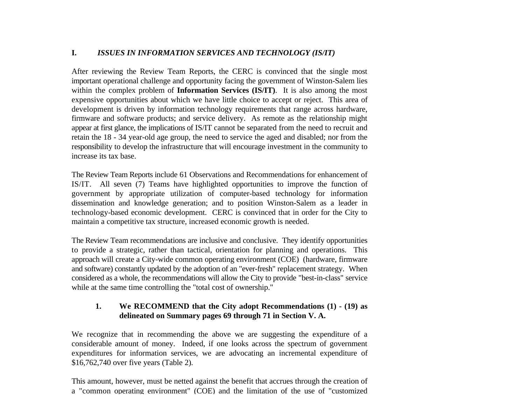#### **I.** *ISSUES IN INFORMATION SERVICES AND TECHNOLOGY (IS/IT)*

After reviewing the Review Team Reports, the CERC is convinced that the single most important operational challenge and opportunity facing the government of Winston-Salem lies within the complex problem of **Information Services (IS/IT)**. It is also among the most expensive opportunities about which we have little choice to accept or reject. This area of development is driven by information technology requirements that range across hardware, firmware and software products; and service delivery. As remote as the relationship might appear at first glance, the implications of IS/IT cannot be separated from the need to recruit and retain the 18 - 34 year-old age group, the need to service the aged and disabled; nor from the responsibility to develop the infrastructure that will encourage investment in the community to increase its tax base.

The Review Team Reports include 61 Observations and Recommendations for enhancement of IS/IT. All seven (7) Teams have highlighted opportunities to improve the function of government by appropriate utilization of computer-based technology for information dissemination and knowledge generation; and to position Winston-Salem as a leader in technology-based economic development. CERC is convinced that in order for the City to maintain a competitive tax structure, increased economic growth is needed.

The Review Team recommendations are inclusive and conclusive. They identify opportunities to provide a strategic, rather than tactical, orientation for planning and operations. This approach will create a City-wide common operating environment (COE) (hardware, firmware and software) constantly updated by the adoption of an "ever-fresh" replacement strategy. When considered as a whole, the recommendations will allow the City to provide "best-in-class" service while at the same time controlling the "total cost of ownership."

## **1. We RECOMMEND that the City adopt Recommendations (1) - (19) as delineated on Summary pages 69 through 71 in Section V. A.**

We recognize that in recommending the above we are suggesting the expenditure of a considerable amount of money. Indeed, if one looks across the spectrum of government expenditures for information services, we are advocating an incremental expenditure of \$16,762,740 over five years (Table 2).

This amount, however, must be netted against the benefit that accrues through the creation of a "common operating environment" (COE) and the limitation of the use of "customized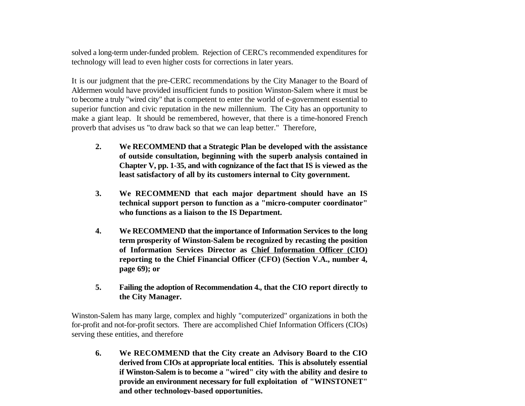solved a long-term under-funded problem. Rejection of CERC's recommended expenditures for technology will lead to even higher costs for corrections in later years.

It is our judgment that the pre-CERC recommendations by the City Manager to the Board of Aldermen would have provided insufficient funds to position Winston-Salem where it must be to become a truly "wired city" that is competent to enter the world of e-government essential to superior function and civic reputation in the new millennium. The City has an opportunity to make a giant leap. It should be remembered, however, that there is a time-honored French proverb that advises us "to draw back so that we can leap better." Therefore,

- **2. We RECOMMEND that a Strategic Plan be developed with the assistance of outside consultation, beginning with the superb analysis contained in Chapter V, pp. 1-35, and with cognizance of the fact that IS is viewed as the least satisfactory of all by its customers internal to City government.**
- **3. We RECOMMEND that each major department should have an IS technical support person to function as a "micro-computer coordinator" who functions as a liaison to the IS Department.**
- **4. We RECOMMEND that the importance of Information Services to the long term prosperity of Winston-Salem be recognized by recasting the position of Information Services Director as Chief Information Officer (CIO) reporting to the Chief Financial Officer (CFO) (Section V.A., number 4, page 69); or**
- **5. Failing the adoption of Recommendation 4., that the CIO report directly to the City Manager.**

Winston-Salem has many large, complex and highly "computerized" organizations in both the for-profit and not-for-profit sectors. There are accomplished Chief Information Officers (CIOs) serving these entities, and therefore

**6. We RECOMMEND that the City create an Advisory Board to the CIO derived from CIOs at appropriate local entities. This is absolutely essential if Winston-Salem is to become a "wired" city with the ability and desire to provide an environment necessary for full exploitation of "WINSTONET" and other technology-based opportunities.**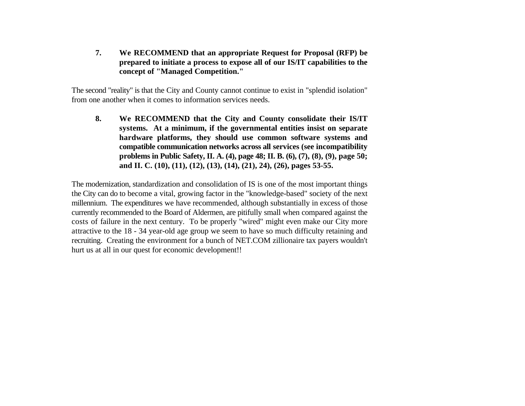**7. We RECOMMEND that an appropriate Request for Proposal (RFP) be prepared to initiate a process to expose all of our IS/IT capabilities to the concept of "Managed Competition."**

The second "reality" is that the City and County cannot continue to exist in "splendid isolation" from one another when it comes to information services needs.

**8. We RECOMMEND that the City and County consolidate their IS/IT systems. At a minimum, if the governmental entities insist on separate hardware platforms, they should use common software systems and compatible communication networks across all services (see incompatibility problems in Public Safety, II. A. (4), page 48; II. B. (6), (7), (8), (9), page 50; and II. C. (10), (11), (12), (13), (14), (21), 24), (26), pages 53-55.** 

The modernization, standardization and consolidation of IS is one of the most important things the City can do to become a vital, growing factor in the "knowledge-based" society of the next millennium. The expenditures we have recommended, although substantially in excess of those currently recommended to the Board of Aldermen, are pitifully small when compared against the costs of failure in the next century. To be properly "wired" might even make our City more attractive to the 18 - 34 year-old age group we seem to have so much difficulty retaining and recruiting. Creating the environment for a bunch of NET.COM zillionaire tax payers wouldn't hurt us at all in our quest for economic development!!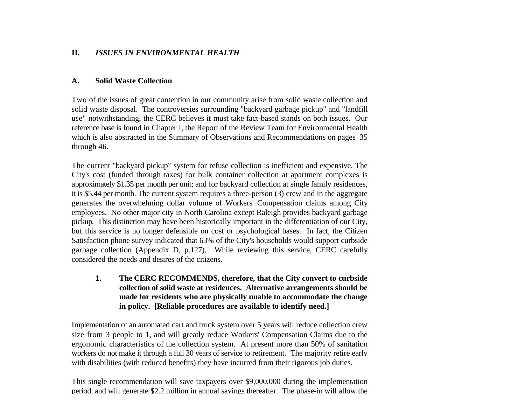#### **II.** *ISSUES IN ENVIRONMENTAL HEALTH*

#### **A. Solid Waste Collection**

Two of the issues of great contention in our community arise from solid waste collection and solid waste disposal. The controversies surrounding "backyard garbage pickup" and "landfill use" notwithstanding, the CERC believes it must take fact-based stands on both issues. Our reference base is found in Chapter I, the Report of the Review Team for Environmental Health which is also abstracted in the Summary of Observations and Recommendations on pages 35 through 46.

The current "backyard pickup" system for refuse collection is inefficient and expensive. The City's cost (funded through taxes) for bulk container collection at apartment complexes is approximately \$1.35 per month per unit; and for backyard collection at single family residences, it is \$5.44 per month. The current system requires a three-person (3) crew and in the aggregate generates the overwhelming dollar volume of Workers' Compensation claims among City employees. No other major city in North Carolina except Raleigh provides backyard garbage pickup. This distinction may have been historically important in the differentiation of our City, but this service is no longer defensible on cost or psychological bases. In fact, the Citizen Satisfaction phone survey indicated that 63% of the City's households would support curbside garbage collection (Appendix D, p.127). While reviewing this service, CERC carefully considered the needs and desires of the citizens.

**1. The CERC RECOMMENDS, therefore, that the City convert to curbside collection of solid waste at residences. Alternative arrangements should be made for residents who are physically unable to accommodate the change in policy. [Reliable procedures are available to identify need.]** 

Implementation of an automated cart and truck system over 5 years will reduce collection crew size from 3 people to 1, and will greatly reduce Workers' Compensation Claims due to the ergonomic characteristics of the collection system. At present more than 50% of sanitation workers do not make it through a full 30 years of service to retirement. The majority retire early with disabilities (with reduced benefits) they have incurred from their rigorous job duties.

This single recommendation will save taxpayers over \$9,000,000 during the implementation period, and will generate \$2.2 million in annual savings thereafter. The phase-in will allow the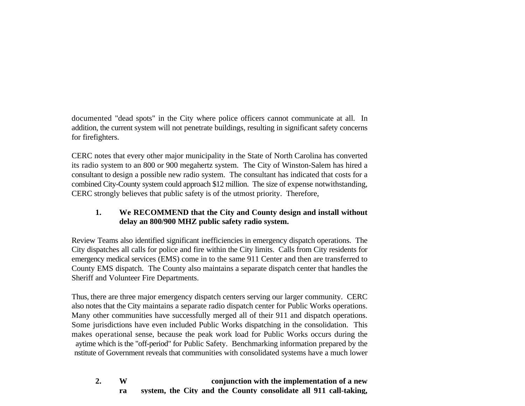documented "dead spots" in the City where police officers cannot communicate at all. In addition, the current system will not penetrate buildings, resulting in significant safety concerns for firefighters.

CERC notes that every other major municipality in the State of North Carolina has converted its radio system to an 800 or 900 megahertz system. The City of Winston-Salem has hired a consultant to design a possible new radio system. The consultant has indicated that costs for a combined City-County system could approach \$12 million. The size of expense notwithstanding, CERC strongly believes that public safety is of the utmost priority. Therefore,

# **1. We RECOMMEND that the City and County design and install without delay an 800/900 MHZ public safety radio system.**

Review Teams also identified significant inefficiencies in emergency dispatch operations. The City dispatches all calls for police and fire within the City limits. Calls from City residents for emergency medical services (EMS) come in to the same 911 Center and then are transferred to County EMS dispatch. The County also maintains a separate dispatch center that handles the Sheriff and Volunteer Fire Departments.

Thus, there are three major emergency dispatch centers serving our larger community. CERC also notes that the City maintains a separate radio dispatch center for Public Works operations. Many other communities have successfully merged all of their 911 and dispatch operations. Some jurisdictions have even included Public Works dispatching in the consolidation. This makes operational sense, because the peak work load for Public Works occurs during the aytime which is the "off-period" for Public Safety. Benchmarking information prepared by the nstitute of Government reveals that communities with consolidated systems have a much lower

**2. W conjunction with the implementation of a new ra system, the City and the County consolidate all 911 call-taking,**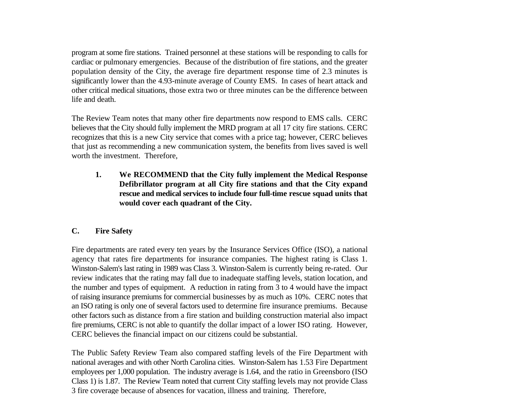program at some fire stations. Trained personnel at these stations will be responding to calls for cardiac or pulmonary emergencies. Because of the distribution of fire stations, and the greater population density of the City, the average fire department response time of 2.3 minutes is significantly lower than the 4.93-minute average of County EMS. In cases of heart attack and other critical medical situations, those extra two or three minutes can be the difference between life and death.

The Review Team notes that many other fire departments now respond to EMS calls. CERC believes that the City should fully implement the MRD program at all 17 city fire stations. CERC recognizes that this is a new City service that comes with a price tag; however, CERC believes that just as recommending a new communication system, the benefits from lives saved is well worth the investment. Therefore,

**1. We RECOMMEND that the City fully implement the Medical Response Defibrillator program at all City fire stations and that the City expand rescue and medical services to include four full-time rescue squad units that would cover each quadrant of the City.**

#### **C. Fire Safety**

Fire departments are rated every ten years by the Insurance Services Office (ISO), a national agency that rates fire departments for insurance companies. The highest rating is Class 1. Winston-Salem's last rating in 1989 was Class 3. Winston-Salem is currently being re-rated. Our review indicates that the rating may fall due to inadequate staffing levels, station location, and the number and types of equipment. A reduction in rating from 3 to 4 would have the impact of raising insurance premiums for commercial businesses by as much as 10%. CERC notes that an ISO rating is only one of several factors used to determine fire insurance premiums. Because other factors such as distance from a fire station and building construction material also impact fire premiums, CERC is not able to quantify the dollar impact of a lower ISO rating. However, CERC believes the financial impact on our citizens could be substantial.

The Public Safety Review Team also compared staffing levels of the Fire Department with national averages and with other North Carolina cities. Winston-Salem has 1.53 Fire Department employees per 1,000 population. The industry average is 1.64, and the ratio in Greensboro (ISO Class 1) is 1.87. The Review Team noted that current City staffing levels may not provide Class 3 fire coverage because of absences for vacation, illness and training. Therefore,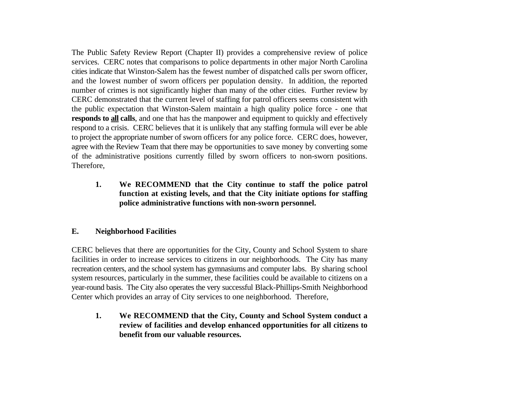The Public Safety Review Report (Chapter II) provides a comprehensive review of police services. CERC notes that comparisons to police departments in other major North Carolina cities indicate that Winston-Salem has the fewest number of dispatched calls per sworn officer, and the lowest number of sworn officers per population density. In addition, the reported number of crimes is not significantly higher than many of the other cities. Further review by CERC demonstrated that the current level of staffing for patrol officers seems consistent with the public expectation that Winston-Salem maintain a high quality police force - one that **responds to all calls**, and one that has the manpower and equipment to quickly and effectively respond to a crisis. CERC believes that it is unlikely that any staffing formula will ever be able to project the appropriate number of sworn officers for any police force. CERC does, however, agree with the Review Team that there may be opportunities to save money by converting some of the administrative positions currently filled by sworn officers to non-sworn positions. Therefore,

**1. We RECOMMEND that the City continue to staff the police patrol function at existing levels, and that the City initiate options for staffing police administrative functions with non-sworn personnel.**

## **E. Neighborhood Facilities**

CERC believes that there are opportunities for the City, County and School System to share facilities in order to increase services to citizens in our neighborhoods. The City has many recreation centers, and the school system has gymnasiums and computer labs. By sharing school system resources, particularly in the summer, these facilities could be available to citizens on a year-round basis. The City also operates the very successful Black-Phillips-Smith Neighborhood Center which provides an array of City services to one neighborhood. Therefore,

**1. We RECOMMEND that the City, County and School System conduct a review of facilities and develop enhanced opportunities for all citizens to benefit from our valuable resources.**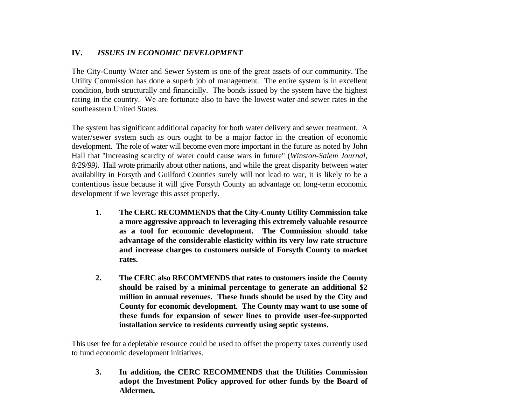## **IV.** *ISSUES IN ECONOMIC DEVELOPMENT*

The City-County Water and Sewer System is one of the great assets of our community. The Utility Commission has done a superb job of management. The entire system is in excellent condition, both structurally and financially. The bonds issued by the system have the highest rating in the country. We are fortunate also to have the lowest water and sewer rates in the southeastern United States.

The system has significant additional capacity for both water delivery and sewer treatment. A water/sewer system such as ours ought to be a major factor in the creation of economic development. The role of water will become even more important in the future as noted by John Hall that "Increasing scarcity of water could cause wars in future" (*Winston-Salem Journal, 8/29/99)*. Hall wrote primarily about other nations, and while the great disparity between water availability in Forsyth and Guilford Counties surely will not lead to war, it is likely to be a contentious issue because it will give Forsyth County an advantage on long-term economic development if we leverage this asset properly.

- **1. The CERC RECOMMENDS that the City-County Utility Commission take a more aggressive approach to leveraging this extremely valuable resource as a tool for economic development. The Commission should take advantage of the considerable elasticity within its very low rate structure and increase charges to customers outside of Forsyth County to market rates.**
- **2. The CERC also RECOMMENDS that rates to customers inside the County should be raised by a minimal percentage to generate an additional \$2 million in annual revenues. These funds should be used by the City and County for economic development. The County may want to use some of these funds for expansion of sewer lines to provide user-fee-supported installation service to residents currently using septic systems.**

This user fee for a depletable resource could be used to offset the property taxes currently used to fund economic development initiatives.

**3. In addition, the CERC RECOMMENDS that the Utilities Commission adopt the Investment Policy approved for other funds by the Board of Aldermen.**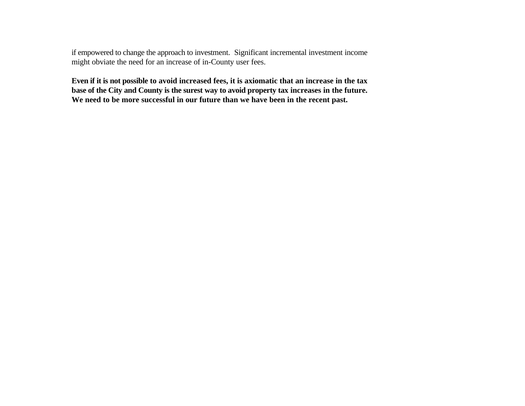if empowered to change the approach to investment. Significant incremental investment income might obviate the need for an increase of in-County user fees.

**Even if it is not possible to avoid increased fees, it is axiomatic that an increase in the tax base of the City and County is the surest way to avoid property tax increases in the future. We need to be more successful in our future than we have been in the recent past.**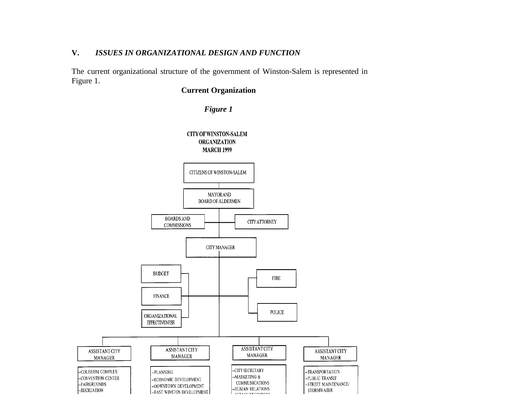## **V.** *ISSUES IN ORGANIZATIONAL DESIGN AND FUNCTION*

The current organizational structure of the government of Winston-Salem is represented in Figure 1.

### **Current Organization**

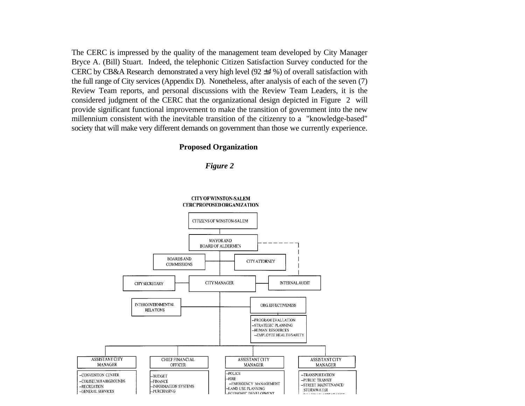The CERC is impressed by the quality of the management team developed by City Manager Bryce A. (Bill) Stuart. Indeed, the telephonic Citizen Satisfaction Survey conducted for the CERC by CB&A Research demonstrated a very high level (92 ±*4* %) of overall satisfaction with the full range of City services (Appendix D). Nonetheless, after analysis of each of the seven (7) Review Team reports, and personal discussions with the Review Team Leaders, it is the considered judgment of the CERC that the organizational design depicted in Figure 2 will provide significant functional improvement to make the transition of government into the new millennium consistent with the inevitable transition of the citizenry to a "knowledge-based" society that will make very different demands on government than those we currently experience.

#### **Proposed Organization**



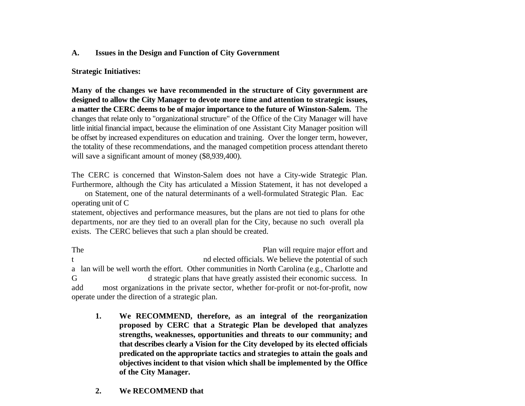#### **A. Issues in the Design and Function of City Government**

#### **Strategic Initiatives:**

**Many of the changes we have recommended in the structure of City government are designed to allow the City Manager to devote more time and attention to strategic issues, a matter the CERC deems to be of major importance to the future of Winston-Salem.** The changes that relate only to "organizational structure" of the Office of the City Manager will have little initial financial impact, because the elimination of one Assistant City Manager position will be offset by increased expenditures on education and training. Over the longer term, however, the totality of these recommendations, and the managed competition process attendant thereto will save a significant amount of money (\$8,939,400).

The CERC is concerned that Winston-Salem does not have a City-wide Strategic Plan. Furthermore, although the City has articulated a Mission Statement, it has not developed a

on Statement, one of the natural determinants of a well-formulated Strategic Plan. Eac operating unit of C

statement, objectives and performance measures, but the plans are not tied to plans for othe departments, nor are they tied to an overall plan for the City, because no such overall pla exists. The CERC believes that such a plan should be created.

The Plan will require major effort and t nd elected officials. We believe the potential of such the number of such a such a such a such a such a such a such a such a such a such a such a such a such a such a such a such a such a such a such a such a such a such a lan will be well worth the effort. Other communities in North Carolina (e.g., Charlotte and G d strategic plans that have greatly assisted their economic success. In add most organizations in the private sector, whether for-profit or not-for-profit, now operate under the direction of a strategic plan.

**1. We RECOMMEND, therefore, as an integral of the reorganization proposed by CERC that a Strategic Plan be developed that analyzes strengths, weaknesses, opportunities and threats to our community; and that describes clearly a Vision for the City developed by its elected officials predicated on the appropriate tactics and strategies to attain the goals and objectives incident to that vision which shall be implemented by the Office of the City Manager.** 

#### **2. We RECOMMEND that**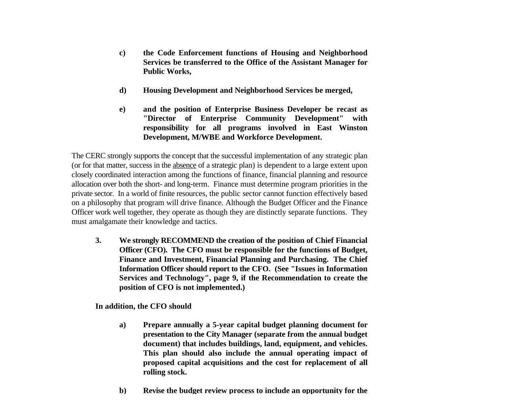- **c) the Code Enforcement functions of Housing and Neighborhood Services be transferred to the Office of the Assistant Manager for Public Works,**
- **d) Housing Development and Neighborhood Services be merged,**
- **e) and the position of Enterprise Business Developer be recast as "Director of Enterprise Community Development" with responsibility for all programs involved in East Winston Development, M/WBE and Workforce Development.**

The CERC strongly supports the concept that the successful implementation of any strategic plan (or for that matter, success in the absence of a strategic plan) is dependent to a large extent upon closely coordinated interaction among the functions of finance, financial planning and resource allocation over both the short- and long-term. Finance must determine program priorities in the private sector. In a world of finite resources, the public sector cannot function effectively based on a philosophy that program will drive finance. Although the Budget Officer and the Finance Officer work well together, they operate as though they are distinctly separate functions. They must amalgamate their knowledge and tactics.

**3. We strongly RECOMMEND the creation of the position of Chief Financial Officer (CFO). The CFO must be responsible for the functions of Budget, Finance and Investment, Financial Planning and Purchasing. The Chief Information Officer should report to the CFO. (See "Issues in Information Services and Technology", page 9, if the Recommendation to create the position of CFO is not implemented.)**

**In addition, the CFO should** 

- **a) Prepare annually a 5-year capital budget planning document for presentation to the City Manager (separate from the annual budget document) that includes buildings, land, equipment, and vehicles. This plan should also include the annual operating impact of proposed capital acquisitions and the cost for replacement of all rolling stock.**
- **b) Revise the budget review process to include an opportunity for the**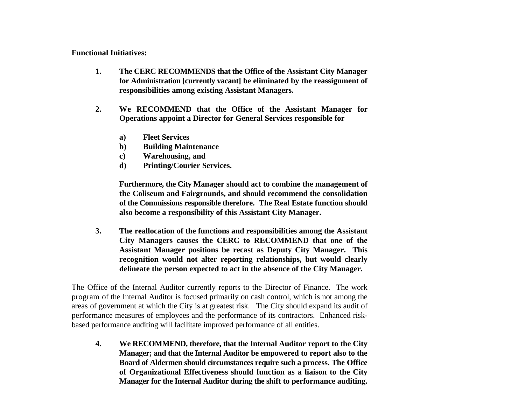#### **Functional Initiatives:**

- **1. The CERC RECOMMENDS that the Office of the Assistant City Manager for Administration [currently vacant] be eliminated by the reassignment of responsibilities among existing Assistant Managers.**
- **2. We RECOMMEND that the Office of the Assistant Manager for Operations appoint a Director for General Services responsible for**
	- **a) Fleet Services**
	- **b) Building Maintenance**
	- **c) Warehousing, and**
	- **d) Printing/Courier Services.**

**Furthermore, the City Manager should act to combine the management of the Coliseum and Fairgrounds, and should recommend the consolidation of the Commissions responsible therefore. The Real Estate function should also become a responsibility of this Assistant City Manager.**

**3. The reallocation of the functions and responsibilities among the Assistant City Managers causes the CERC to RECOMMEND that one of the Assistant Manager positions be recast as Deputy City Manager. This recognition would not alter reporting relationships, but would clearly delineate the person expected to act in the absence of the City Manager.** 

The Office of the Internal Auditor currently reports to the Director of Finance. The work program of the Internal Auditor is focused primarily on cash control, which is not among the areas of government at which the City is at greatest risk. The City should expand its audit of performance measures of employees and the performance of its contractors. Enhanced riskbased performance auditing will facilitate improved performance of all entities.

**4. We RECOMMEND, therefore, that the Internal Auditor report to the City Manager; and that the Internal Auditor be empowered to report also to the Board of Aldermen should circumstances require such a process. The Office of Organizational Effectiveness should function as a liaison to the City Manager for the Internal Auditor during the shift to performance auditing.**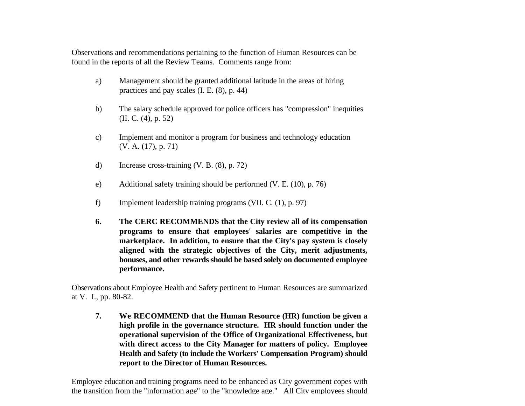Observations and recommendations pertaining to the function of Human Resources can be found in the reports of all the Review Teams. Comments range from:

- a) Management should be granted additional latitude in the areas of hiring practices and pay scales (I. E. (8), p. 44)
- b) The salary schedule approved for police officers has "compression" inequities (II. C. (4), p. 52)
- c) Implement and monitor a program for business and technology education (V. A. (17), p. 71)
- d) Increase cross-training (V. B. (8), p. 72)
- e) Additional safety training should be performed (V. E. (10), p. 76)
- f) Implement leadership training programs (VII. C. (1), p. 97)
- **6. The CERC RECOMMENDS that the City review all of its compensation programs to ensure that employees' salaries are competitive in the marketplace. In addition, to ensure that the City's pay system is closely aligned with the strategic objectives of the City, merit adjustments, bonuses, and other rewards should be based solely on documented employee performance.**

Observations about Employee Health and Safety pertinent to Human Resources are summarized at V. I., pp. 80-82.

**7. We RECOMMEND that the Human Resource (HR) function be given a high profile in the governance structure. HR should function under the operational supervision of the Office of Organizational Effectiveness, but with direct access to the City Manager for matters of policy. Employee Health and Safety (to include the Workers' Compensation Program) should report to the Director of Human Resources.** 

Employee education and training programs need to be enhanced as City government copes with the transition from the "information age" to the "knowledge age." All City employees should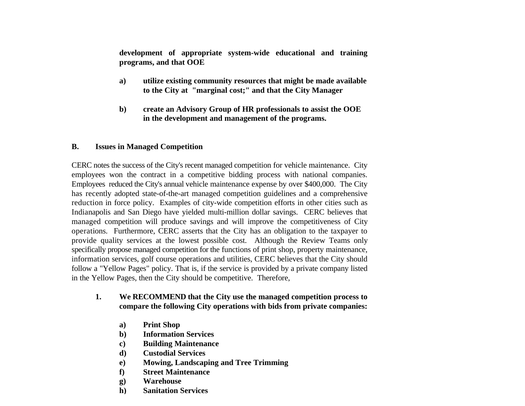**development of appropriate system-wide educational and training programs, and that OOE**

- **a) utilize existing community resources that might be made available to the City at "marginal cost;" and that the City Manager**
- **b) create an Advisory Group of HR professionals to assist the OOE in the development and management of the programs.**

#### **B. Issues in Managed Competition**

CERC notes the success of the City's recent managed competition for vehicle maintenance. City employees won the contract in a competitive bidding process with national companies. Employees reduced the City's annual vehicle maintenance expense by over \$400,000. The City has recently adopted state-of-the-art managed competition guidelines and a comprehensive reduction in force policy. Examples of city-wide competition efforts in other cities such as Indianapolis and San Diego have yielded multi-million dollar savings. CERC believes that managed competition will produce savings and will improve the competitiveness of City operations. Furthermore, CERC asserts that the City has an obligation to the taxpayer to provide quality services at the lowest possible cost. Although the Review Teams only specifically propose managed competition for the functions of print shop, property maintenance, information services, golf course operations and utilities, CERC believes that the City should follow a "Yellow Pages" policy. That is, if the service is provided by a private company listed in the Yellow Pages, then the City should be competitive. Therefore,

- **1. We RECOMMEND that the City use the managed competition process to compare the following City operations with bids from private companies:**
	- **a) Print Shop**
	- **b) Information Services**
	- **c) Building Maintenance**
	- **d) Custodial Services**
	- **e) Mowing, Landscaping and Tree Trimming**
	- **f) Street Maintenance**
	- **g) Warehouse**
	- **h) Sanitation Services**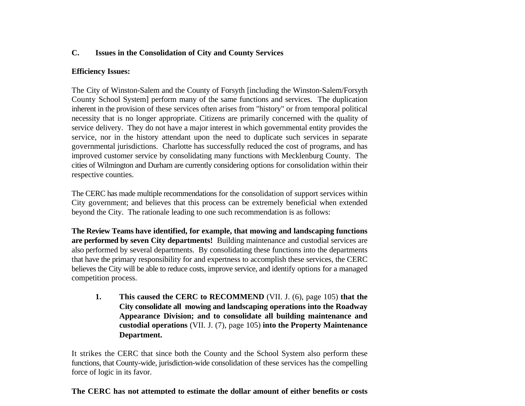## **C. Issues in the Consolidation of City and County Services**

#### **Efficiency Issues:**

The City of Winston-Salem and the County of Forsyth [including the Winston-Salem/Forsyth County School System] perform many of the same functions and services. The duplication inherent in the provision of these services often arises from "history" or from temporal political necessity that is no longer appropriate. Citizens are primarily concerned with the quality of service delivery. They do not have a major interest in which governmental entity provides the service, nor in the history attendant upon the need to duplicate such services in separate governmental jurisdictions. Charlotte has successfully reduced the cost of programs, and has improved customer service by consolidating many functions with Mecklenburg County. The cities of Wilmington and Durham are currently considering options for consolidation within their respective counties.

The CERC has made multiple recommendations for the consolidation of support services within City government; and believes that this process can be extremely beneficial when extended beyond the City. The rationale leading to one such recommendation is as follows:

**The Review Teams have identified, for example, that mowing and landscaping functions are performed by seven City departments!** Building maintenance and custodial services are also performed by several departments. By consolidating these functions into the departments that have the primary responsibility for and expertness to accomplish these services, the CERC believes the City will be able to reduce costs, improve service, and identify options for a managed competition process.

**1. This caused the CERC to RECOMMEND** (VII. J. (6), page 105) **that the City consolidate all mowing and landscaping operations into the Roadway Appearance Division; and to consolidate all building maintenance and custodial operations** (VII. J. (7), page 105) **into the Property Maintenance Department.** 

It strikes the CERC that since both the County and the School System also perform these functions, that County-wide, jurisdiction-wide consolidation of these services has the compelling force of logic in its favor.

## **The CERC has not attempted to estimate the dollar amount of either benefits or costs**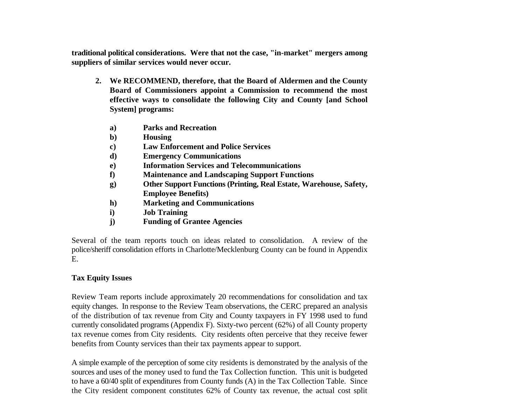**traditional political considerations. Were that not the case, "in-market" mergers among suppliers of similar services would never occur.**

- **2. We RECOMMEND, therefore, that the Board of Aldermen and the County Board of Commissioners appoint a Commission to recommend the most effective ways to consolidate the following City and County [and School System] programs:**
	- **a) Parks and Recreation**
	- **b) Housing**
	- **c) Law Enforcement and Police Services**
	- **d) Emergency Communications**
	- **e) Information Services and Telecommunications**
	- **f) Maintenance and Landscaping Support Functions**
	- **g) Other Support Functions (Printing, Real Estate, Warehouse, Safety, Employee Benefits)**
	- **h) Marketing and Communications**
	- **i) Job Training**
	- **j) Funding of Grantee Agencies**

Several of the team reports touch on ideas related to consolidation. A review of the police/sheriff consolidation efforts in Charlotte/Mecklenburg County can be found in Appendix E.

# **Tax Equity Issues**

Review Team reports include approximately 20 recommendations for consolidation and tax equity changes. In response to the Review Team observations, the CERC prepared an analysis of the distribution of tax revenue from City and County taxpayers in FY 1998 used to fund currently consolidated programs (Appendix F). Sixty-two percent (62%) of all County property tax revenue comes from City residents. City residents often perceive that they receive fewer benefits from County services than their tax payments appear to support.

A simple example of the perception of some city residents is demonstrated by the analysis of the sources and uses of the money used to fund the Tax Collection function. This unit is budgeted to have a 60/40 split of expenditures from County funds (A) in the Tax Collection Table. Since the City resident component constitutes 62% of County tax revenue, the actual cost split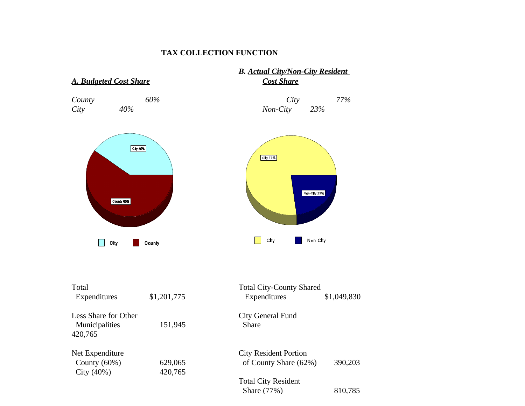# **TAX COLLECTION FUNCTION**

# *B. Actual City/Non-City Resident*

# *A. Budgeted Cost Share Cost Share*

| County |     | 60% | City     |     | 77% |
|--------|-----|-----|----------|-----|-----|
| City   | 40% |     | Non-City | 23% |     |



| Total<br>Expenditures                                                     | \$1,201,775 | <b>Total City-County Shared</b><br>Expenditures                  | \$1,049,830 |
|---------------------------------------------------------------------------|-------------|------------------------------------------------------------------|-------------|
| Less Share for Other<br>Municipalities<br>420,765                         | 151,945     | City General Fund<br>Share                                       |             |
| Net Expenditure<br>County $(60\%)$<br>629,065<br>City $(40\%)$<br>420,765 |             | <b>City Resident Portion</b><br>of County Share (62%)<br>390,203 |             |
|                                                                           |             | <b>Total City Resident</b><br>Share (77%)                        | 810,785     |